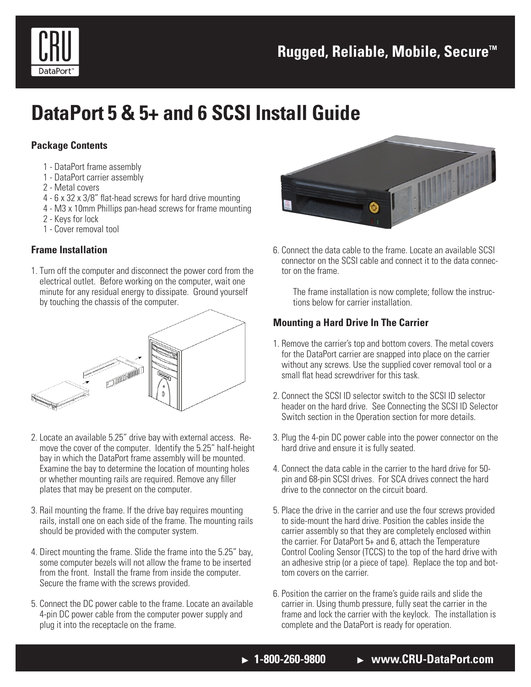

# **DataPort 5 & 5+ and 6 SCSI Install Guide**

# **Package Contents**

- 1 DataPort frame assembly
- 1 DataPort carrier assembly
- 2 Metal covers
- 4 6 x 32 x 3/8" flat-head screws for hard drive mounting
- 4 M3 x 10mm Phillips pan-head screws for frame mounting
- 2 Keys for lock
- 1 Cover removal tool

# **Frame Installation**

1. Turn off the computer and disconnect the power cord from the electrical outlet. Before working on the computer, wait one minute for any residual energy to dissipate. Ground yourself by touching the chassis of the computer.



- 2. Locate an available 5.25" drive bay with external access. Remove the cover of the computer. Identify the 5.25" half-height bay in which the DataPort frame assembly will be mounted. Examine the bay to determine the location of mounting holes or whether mounting rails are required. Remove any filler plates that may be present on the computer.
- 3. Rail mounting the frame. If the drive bay requires mounting rails, install one on each side of the frame. The mounting rails should be provided with the computer system.
- 4. Direct mounting the frame. Slide the frame into the 5.25" bay, some computer bezels will not allow the frame to be inserted from the front. Install the frame from inside the computer. Secure the frame with the screws provided.
- 5. Connect the DC power cable to the frame. Locate an available 4-pin DC power cable from the computer power supply and plug it into the receptacle on the frame.



6. Connect the data cable to the frame. Locate an available SCSI connector on the SCSI cable and connect it to the data connector on the frame.

The frame installation is now complete; follow the instructions below for carrier installation.

# **Mounting a Hard Drive In The Carrier**

- 1. Remove the carrier's top and bottom covers. The metal covers for the DataPort carrier are snapped into place on the carrier without any screws. Use the supplied cover removal tool or a small flat head screwdriver for this task.
- 2. Connect the SCSI ID selector switch to the SCSI ID selector header on the hard drive. See Connecting the SCSI ID Selector Switch section in the Operation section for more details.
- 3. Plug the 4-pin DC power cable into the power connector on the hard drive and ensure it is fully seated.
- 4. Connect the data cable in the carrier to the hard drive for 50 pin and 68-pin SCSI drives. For SCA drives connect the hard drive to the connector on the circuit board.
- 5. Place the drive in the carrier and use the four screws provided to side-mount the hard drive. Position the cables inside the carrier assembly so that they are completely enclosed within the carrier. For DataPort 5+ and 6, attach the Temperature Control Cooling Sensor (TCCS) to the top of the hard drive with an adhesive strip (or a piece of tape). Replace the top and bottom covers on the carrier.
- 6. Position the carrier on the frame's guide rails and slide the carrier in. Using thumb pressure, fully seat the carrier in the frame and lock the carrier with the keylock. The installation is complete and the DataPort is ready for operation.